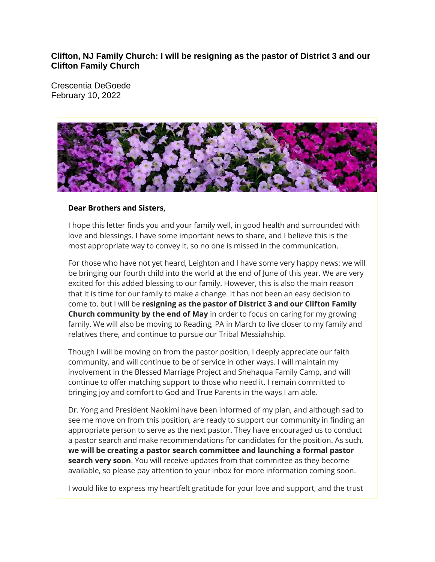## **Clifton, NJ Family Church: I will be resigning as the pastor of District 3 and our Clifton Family Church**

Crescentia DeGoede February 10, 2022



## **Dear Brothers and Sisters,**

I hope this letter finds you and your family well, in good health and surrounded with love and blessings. I have some important news to share, and I believe this is the most appropriate way to convey it, so no one is missed in the communication.

For those who have not yet heard, Leighton and I have some very happy news: we will be bringing our fourth child into the world at the end of June of this year. We are very excited for this added blessing to our family. However, this is also the main reason that it is time for our family to make a change. It has not been an easy decision to come to, but I will be **resigning as the pastor of District 3 and our Clifton Family Church community by the end of May** in order to focus on caring for my growing family. We will also be moving to Reading, PA in March to live closer to my family and relatives there, and continue to pursue our Tribal Messiahship.

Though I will be moving on from the pastor position, I deeply appreciate our faith community, and will continue to be of service in other ways. I will maintain my involvement in the Blessed Marriage Project and Shehaqua Family Camp, and will continue to offer matching support to those who need it. I remain committed to bringing joy and comfort to God and True Parents in the ways I am able.

Dr. Yong and President Naokimi have been informed of my plan, and although sad to see me move on from this position, are ready to support our community in finding an appropriate person to serve as the next pastor. They have encouraged us to conduct a pastor search and make recommendations for candidates for the position. As such, **we will be creating a pastor search committee and launching a formal pastor search very soon**. You will receive updates from that committee as they become available, so please pay attention to your inbox for more information coming soon.

I would like to express my heartfelt gratitude for your love and support, and the trust